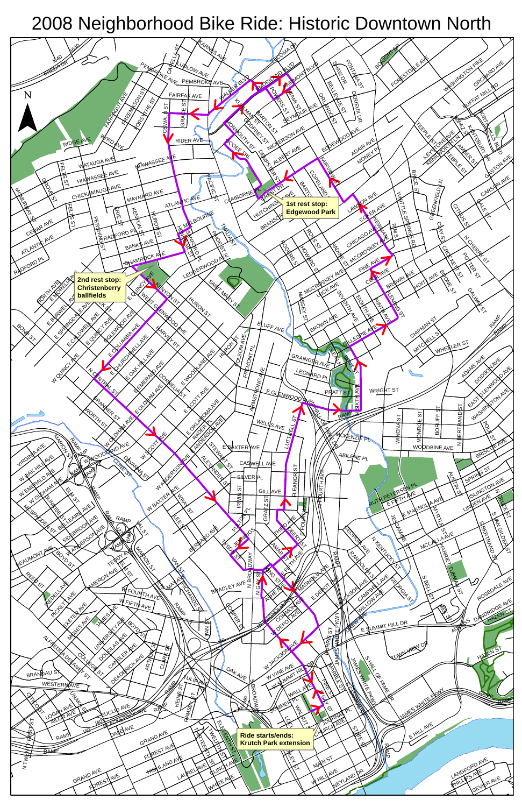

## 2008 Neighborhood Bike Ride: Historic Downtown North